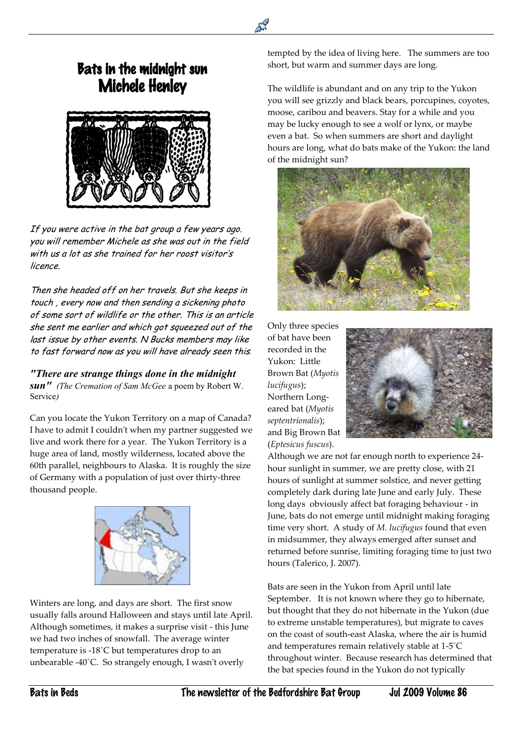## Bats in the midnight sun Michele Henley

 $\overline{a}$ 



If you were active in the bat group a few years ago. you will remember Michele as she was out in the field with us a lot as she trained for her roost visitor's licence.

Then she headed off on her travels. But she keeps in touch , every now and then sending a sickening photo of some sort of wildlife or the other. This is an article she sent me earlier and which got squeezed out of the last issue by other events. N Bucks members may like to fast forward now as you will have already seen this*.*

*"There are strange things done in the midnight sun" (The Cremation of Sam McGee* a poem by Robert W. Service*)*

Can you locate the Yukon Territory on a map of Canada? I have to admit I couldn't when my partner suggested we live and work there for a year. The Yukon Territory is a huge area of land, mostly wilderness, located above the 60th parallel, neighbours to Alaska. It is roughly the size of Germany with a population of just over thirty-three thousand people.



Winters are long, and days are short. The first snow usually falls around Halloween and stays until late April. Although sometimes, it makes a surprise visit - this June we had two inches of snowfall. The average winter temperature is -18˚C but temperatures drop to an unbearable -40˚C. So strangely enough, I wasn't overly

tempted by the idea of living here. The summers are too short, but warm and summer days are long.

The wildlife is abundant and on any trip to the Yukon you will see grizzly and black bears, porcupines, coyotes, moose, caribou and beavers. Stay for a while and you may be lucky enough to see a wolf or lynx, or maybe even a bat. So when summers are short and daylight hours are long, what do bats make of the Yukon: the land of the midnight sun?



Only three species of bat have been recorded in the Yukon: Little Brown Bat (*Myotis lucifugus*); Northern Longeared bat (*Myotis septentrionalis*); and Big Brown Bat (*Eptesicus fuscus*).



Although we are not far enough north to experience 24 hour sunlight in summer, we are pretty close, with 21 hours of sunlight at summer solstice, and never getting completely dark during late June and early July. These long days obviously affect bat foraging behaviour - in June, bats do not emerge until midnight making foraging time very short. A study of *M. lucifugus* found that even in midsummer, they always emerged after sunset and returned before sunrise, limiting foraging time to just two hours (Talerico, J. 2007).

Bats are seen in the Yukon from April until late September. It is not known where they go to hibernate, but thought that they do not hibernate in the Yukon (due to extreme unstable temperatures), but migrate to caves on the coast of south-east Alaska, where the air is humid and temperatures remain relatively stable at 1-5˚C throughout winter. Because research has determined that the bat species found in the Yukon do not typically